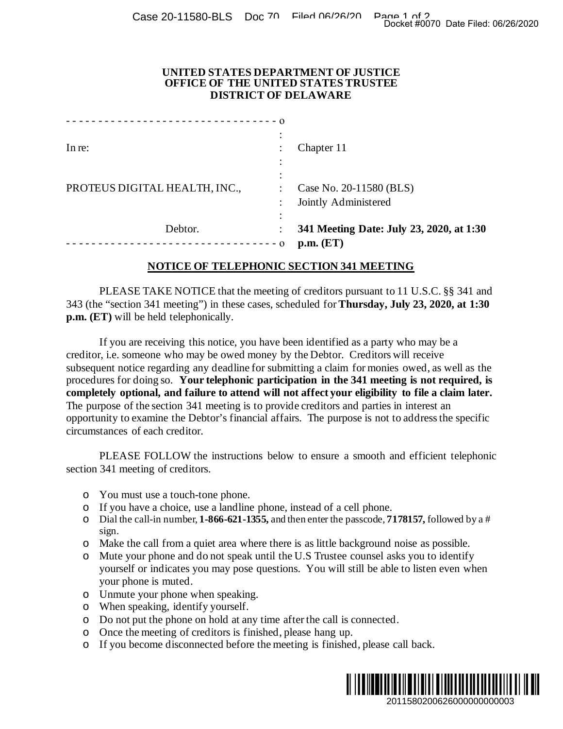## **UNITED STATES DEPARTMENT OF JUSTICE OFFICE OF THE UNITED STATES TRUSTEE DISTRICT OF DELAWARE**

|                                                                                                           | Docket #0070 Date Filed: 06/26/2020                                                                                                                                                                                                                                                                                                                                                                                                                                                                                                                                                                                                                                                  |
|-----------------------------------------------------------------------------------------------------------|--------------------------------------------------------------------------------------------------------------------------------------------------------------------------------------------------------------------------------------------------------------------------------------------------------------------------------------------------------------------------------------------------------------------------------------------------------------------------------------------------------------------------------------------------------------------------------------------------------------------------------------------------------------------------------------|
| UNITED STATES DEPARTMENT OF JUSTICE<br>OFFICE OF THE UNITED STATES TRUSTEE<br><b>DISTRICT OF DELAWARE</b> |                                                                                                                                                                                                                                                                                                                                                                                                                                                                                                                                                                                                                                                                                      |
|                                                                                                           |                                                                                                                                                                                                                                                                                                                                                                                                                                                                                                                                                                                                                                                                                      |
| PROTEUS DIGITAL HEALTH, INC.,                                                                             | Case No. 20-11580 (BLS)<br>Jointly Administered                                                                                                                                                                                                                                                                                                                                                                                                                                                                                                                                                                                                                                      |
| Debtor.<br>----------------------------------0                                                            | 341 Meeting Date: July 23, 2020, at 1:30<br>p.m. (ET)                                                                                                                                                                                                                                                                                                                                                                                                                                                                                                                                                                                                                                |
|                                                                                                           | NOTICE OF TELEPHONIC SECTION 341 MEETING                                                                                                                                                                                                                                                                                                                                                                                                                                                                                                                                                                                                                                             |
| p.m. (ET) will be held telephonically.                                                                    | PLEASE TAKE NOTICE that the meeting of creditors pursuant to 11 U.S.C. §§ 341 and<br>343 (the "section 341 meeting") in these cases, scheduled for <b>Thursday</b> , July 23, 2020, at 1:30                                                                                                                                                                                                                                                                                                                                                                                                                                                                                          |
| circumstances of each creditor.                                                                           | If you are receiving this notice, you have been identified as a party who may be a<br>creditor, i.e. someone who may be owed money by the Debtor. Creditors will receive<br>subsequent notice regarding any deadline for submitting a claim for monies owed, as well as the<br>procedures for doing so. Your telephonic participation in the 341 meeting is not required, is<br>completely optional, and failure to attend will not affect your eligibility to file a claim later.<br>The purpose of the section 341 meeting is to provide creditors and parties in interest an<br>opportunity to examine the Debtor's financial affairs. The purpose is not to address the specific |
| section 341 meeting of creditors.                                                                         | PLEASE FOLLOW the instructions below to ensure a smooth and efficient telephonic                                                                                                                                                                                                                                                                                                                                                                                                                                                                                                                                                                                                     |
| You must use a touch-tone phone.<br>O<br>O<br>O<br>sign.                                                  | If you have a choice, use a landline phone, instead of a cell phone.<br>Dial the call-in number, 1-866-621-1355, and then enter the passcode, 7178157, followed by a #                                                                                                                                                                                                                                                                                                                                                                                                                                                                                                               |
| $\circ$<br>O<br>your phone is muted.                                                                      | Make the call from a quiet area where there is as little background noise as possible.<br>Mute your phone and do not speak until the U.S Trustee counsel asks you to identify<br>yourself or indicates you may pose questions. You will still be able to listen even when                                                                                                                                                                                                                                                                                                                                                                                                            |
| Unmute your phone when speaking.<br>$\circ$<br>When speaking, identify yourself.<br>O                     |                                                                                                                                                                                                                                                                                                                                                                                                                                                                                                                                                                                                                                                                                      |
| O<br>Once the meeting of creditors is finished, please hang up.<br>O<br>O                                 | Do not put the phone on hold at any time after the call is connected.<br>If you become disconnected before the meeting is finished, please call back.                                                                                                                                                                                                                                                                                                                                                                                                                                                                                                                                |
|                                                                                                           | 2011580200626000000000003                                                                                                                                                                                                                                                                                                                                                                                                                                                                                                                                                                                                                                                            |

## **NOTICE OF TELEPHONIC SECTION 341 MEETING**

- o You must use a touch-tone phone.
- o If you have a choice, use a landline phone, instead of a cell phone.
- o Dial the call-in number, **1-866-621-1355,** and then enter the passcode, **7178157,** followed by a # sign.
- o Make the call from a quiet area where there is as little background noise as possible.
- o Mute your phone and do not speak until the U.S Trustee counsel asks you to identify yourself or indicates you may pose questions. You will still be able to listen even when your phone is muted.
- o Unmute your phone when speaking.
- o When speaking, identify yourself.
- o Do not put the phone on hold at any time after the call is connected.
- o Once the meeting of creditors is finished, please hang up.
- o If you become disconnected before the meeting is finished, please call back.